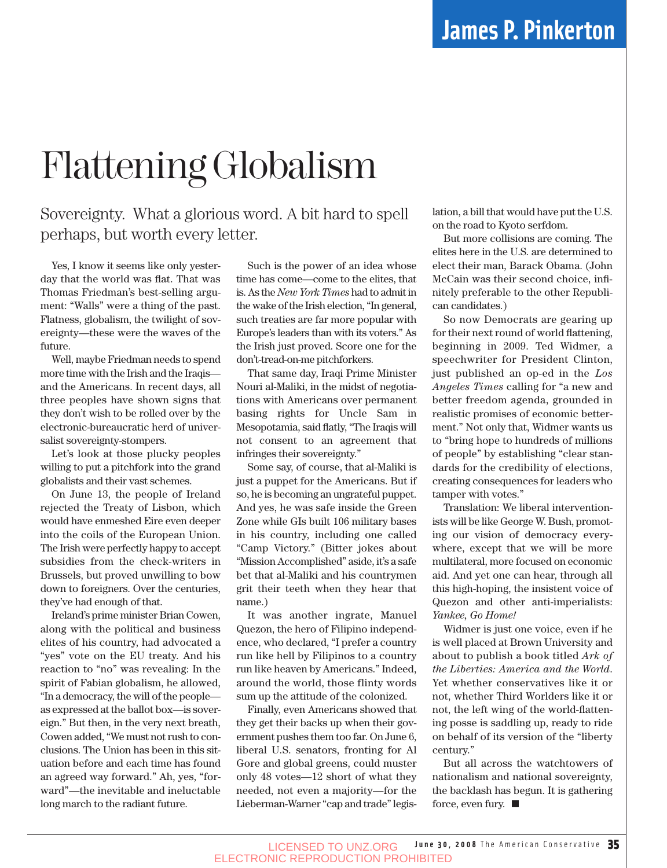# Flattening Globalism

## Sovereignty. What a glorious word. A bit hard to spell perhaps, but worth every letter.

Yes, I know it seems like only yesterday that the world was flat. That was Thomas Friedman's best-selling argument: "Walls" were a thing of the past. Flatness, globalism, the twilight of sovereignty—these were the waves of the future.

Well, maybe Friedman needs to spend more time with the Irish and the Iraqis and the Americans. In recent days, all three peoples have shown signs that they don't wish to be rolled over by the electronic-bureaucratic herd of universalist sovereignty-stompers.

Let's look at those plucky peoples willing to put a pitchfork into the grand globalists and their vast schemes.

On June 13, the people of Ireland rejected the Treaty of Lisbon, which would have enmeshed Eire even deeper into the coils of the European Union. The Irish were perfectly happy to accept subsidies from the check-writers in Brussels, but proved unwilling to bow down to foreigners. Over the centuries, they've had enough of that.

Ireland's prime minister Brian Cowen, along with the political and business elites of his country, had advocated a "yes" vote on the EU treaty. And his reaction to "no" was revealing: In the spirit of Fabian globalism, he allowed, "In a democracy, the will of the people as expressed at the ballot box—is sovereign." But then, in the very next breath, Cowen added, "We must not rush to conclusions. The Union has been in this situation before and each time has found an agreed way forward." Ah, yes, "forward"—the inevitable and ineluctable long march to the radiant future.

Such is the power of an idea whose time has come—come to the elites, that is. As the *New York Times* had to admit in the wake of the Irish election, "In general, such treaties are far more popular with Europe's leaders than with its voters." As the Irish just proved. Score one for the don't-tread-on-me pitchforkers.

That same day, Iraqi Prime Minister Nouri al-Maliki, in the midst of negotiations with Americans over permanent basing rights for Uncle Sam in Mesopotamia, said flatly, "The Iraqis will not consent to an agreement that infringes their sovereignty."

Some say, of course, that al-Maliki is just a puppet for the Americans. But if so, he is becoming an ungrateful puppet. And yes, he was safe inside the Green Zone while GIs built 106 military bases in his country, including one called "Camp Victory." (Bitter jokes about "Mission Accomplished" aside, it's a safe bet that al-Maliki and his countrymen grit their teeth when they hear that name.)

It was another ingrate, Manuel Quezon, the hero of Filipino independence, who declared, "I prefer a country run like hell by Filipinos to a country run like heaven by Americans." Indeed, around the world, those flinty words sum up the attitude of the colonized.

Finally, even Americans showed that they get their backs up when their government pushes them too far. On June 6, liberal U.S. senators, fronting for Al Gore and global greens, could muster only 48 votes—12 short of what they needed, not even a majority—for the Lieberman-Warner "cap and trade" legislation, a bill that would have put the U.S. on the road to Kyoto serfdom.

But more collisions are coming. The elites here in the U.S. are determined to elect their man, Barack Obama. (John McCain was their second choice, infinitely preferable to the other Republican candidates.)

So now Democrats are gearing up for their next round of world flattening, beginning in 2009. Ted Widmer, a speechwriter for President Clinton, just published an op-ed in the *Los Angeles Times* calling for "a new and better freedom agenda, grounded in realistic promises of economic betterment." Not only that, Widmer wants us to "bring hope to hundreds of millions of people" by establishing "clear standards for the credibility of elections, creating consequences for leaders who tamper with votes."

Translation: We liberal interventionists will be like George W. Bush, promoting our vision of democracy everywhere, except that we will be more multilateral, more focused on economic aid. And yet one can hear, through all this high-hoping, the insistent voice of Quezon and other anti-imperialists: *Yankee, Go Home!*

Widmer is just one voice, even if he is well placed at Brown University and about to publish a book titled *Ark of the Liberties: America and the World*. Yet whether conservatives like it or not, whether Third Worlders like it or not, the left wing of the world-flattening posse is saddling up, ready to ride on behalf of its version of the "liberty century."

But all across the watchtowers of nationalism and national sovereignty, the backlash has begun. It is gathering force, even fury.  $\blacksquare$